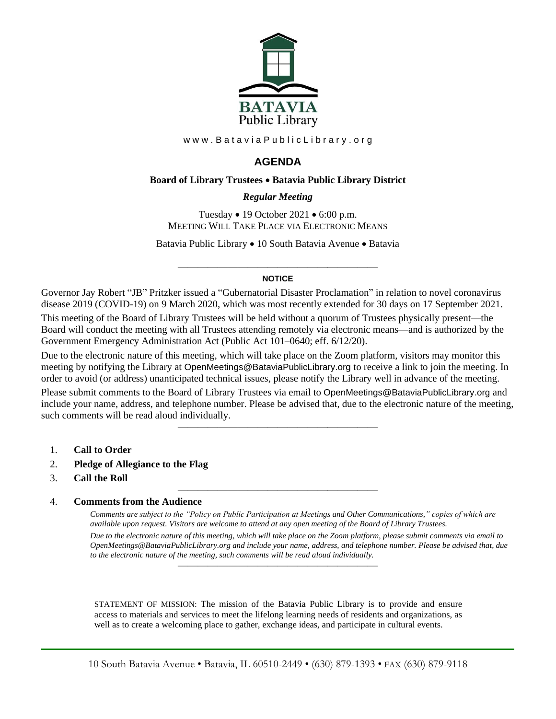

www.BataviaPublicLibrary.org

# **AGENDA**

#### **Board of Library Trustees** • **Batavia Public Library District**

#### *0BRegular Meeting*

Tuesday • 19 October 2021 • 6:00 p.m. MEETING WILL TAKE PLACE VIA ELECTRONIC MEANS

Batavia Public Library • 10 South Batavia Avenue • Batavia

#### ———————————————————— **NOTICE**

Governor Jay Robert "JB" Pritzker issued a "Gubernatorial Disaster Proclamation" in relation to novel coronavirus disease 2019 (COVID-19) on 9 March 2020, which was most recently extended for 30 days on 17 September 2021.

This meeting of the Board of Library Trustees will be held without a quorum of Trustees physically present—the Board will conduct the meeting with all Trustees attending remotely via electronic means—and is authorized by the Government Emergency Administration Act (Public Act 101–0640; eff. 6/12/20).

Due to the electronic nature of this meeting, which will take place on the Zoom platform, visitors may monitor this meeting by notifying the Library at OpenMeetings@BataviaPublicLibrary.org to receive a link to join the meeting. In order to avoid (or address) unanticipated technical issues, please notify the Library well in advance of the meeting.

Please submit comments to the Board of Library Trustees via email to OpenMeetings@BataviaPublicLibrary.org and include your name, address, and telephone number. Please be advised that, due to the electronic nature of the meeting, such comments will be read aloud individually.

————————————————————

————————————————————

- 1. **Call to Order**
- 2. **Pledge of Allegiance to the Flag**
- 3. **Call the Roll**

#### 4. **Comments from the Audience**

*Comments are subject to the "Policy on Public Participation at Meetings and Other Communications," copies of which are available upon request. Visitors are welcome to attend at any open meeting of the Board of Library Trustees. Due to the electronic nature of this meeting, which will take place on the Zoom platform, please submit comments via email to OpenMeetings@BataviaPublicLibrary.org and include your name, address, and telephone number. Please be advised that, due to the electronic nature of the meeting, such comments will be read aloud individually.*

STATEMENT OF MISSION: The mission of the Batavia Public Library is to provide and ensure access to materials and services to meet the lifelong learning needs of residents and organizations, as well as to create a welcoming place to gather, exchange ideas, and participate in cultural events.

————————————————————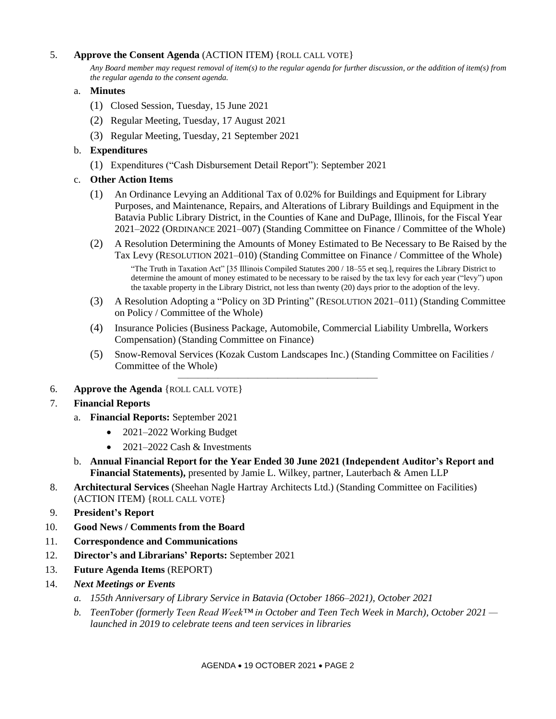### 5. **Approve the Consent Agenda** (ACTION ITEM) {ROLL CALL VOTE}

*Any Board member may request removal of item(s) to the regular agenda for further discussion, or the addition of item(s) from the regular agenda to the consent agenda.*

#### a. **Minutes**

- (1) Closed Session, Tuesday, 15 June 2021
- (2) Regular Meeting, Tuesday, 17 August 2021
- (3) Regular Meeting, Tuesday, 21 September 2021

## b. **Expenditures**

- (1) Expenditures ("Cash Disbursement Detail Report"): September 2021
- c. **Other Action Items**
	- (1) An Ordinance Levying an Additional Tax of 0.02% for Buildings and Equipment for Library Purposes, and Maintenance, Repairs, and Alterations of Library Buildings and Equipment in the Batavia Public Library District, in the Counties of Kane and DuPage, Illinois, for the Fiscal Year 2021–2022 (ORDINANCE 2021–007) (Standing Committee on Finance / Committee of the Whole)
	- (2) A Resolution Determining the Amounts of Money Estimated to Be Necessary to Be Raised by the Tax Levy (RESOLUTION 2021–010) (Standing Committee on Finance / Committee of the Whole) "The Truth in Taxation Act" [35 Illinois Compiled Statutes 200 / 18–55 et seq.], requires the Library District to determine the amount of money estimated to be necessary to be raised by the tax levy for each year ("levy") upon the taxable property in the Library District, not less than twenty (20) days prior to the adoption of the levy.
	- (3) A Resolution Adopting a "Policy on 3D Printing" (RESOLUTION 2021–011) (Standing Committee on Policy / Committee of the Whole)
	- (4) Insurance Policies (Business Package, Automobile, Commercial Liability Umbrella, Workers Compensation) (Standing Committee on Finance)
	- (5) Snow-Removal Services (Kozak Custom Landscapes Inc.) (Standing Committee on Facilities / Committee of the Whole)

————————————————————

6. **Approve the Agenda** {ROLL CALL VOTE}

#### 7. **Financial Reports**

- a. **Financial Reports:** September 2021
	- 2021–2022 Working Budget
	- 2021–2022 Cash & Investments
- b. **Annual Financial Report for the Year Ended 30 June 2021 (Independent Auditor's Report and Financial Statements),** presented by Jamie L. Wilkey, partner, Lauterbach & Amen LLP
- 8. **Architectural Services** (Sheehan Nagle Hartray Architects Ltd.) (Standing Committee on Facilities) (ACTION ITEM) {ROLL CALL VOTE}
- 9. **President's Report**
- 10. **Good News / Comments from the Board**
- 11. **Correspondence and Communications**
- 12. **Director's and Librarians' Reports:** September 2021
- 13. **Future Agenda Items** (REPORT)
- 14. *Next Meetings or Events*
	- *a. 155th Anniversary of Library Service in Batavia (October 1866–2021), October 2021*
	- *b. TeenTober (formerly Teen Read Week™ in October and Teen Tech Week in March), October 2021 launched in 2019 to celebrate teens and teen services in libraries*